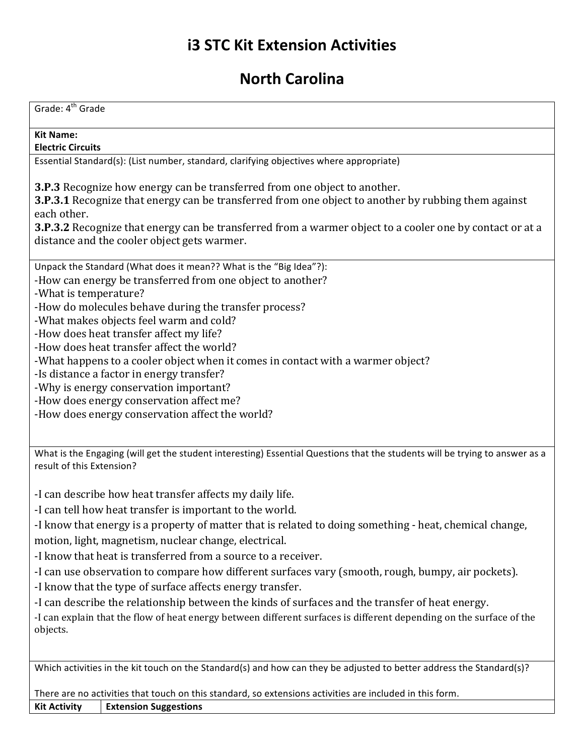# **i3 STC Kit Extension Activities**

## **North Carolina**

| Grade: 4 <sup>th</sup> Grade                                                                                                                                                                                                                                                                                                                                      |
|-------------------------------------------------------------------------------------------------------------------------------------------------------------------------------------------------------------------------------------------------------------------------------------------------------------------------------------------------------------------|
| <b>Kit Name:</b>                                                                                                                                                                                                                                                                                                                                                  |
| <b>Electric Circuits</b>                                                                                                                                                                                                                                                                                                                                          |
| Essential Standard(s): (List number, standard, clarifying objectives where appropriate)                                                                                                                                                                                                                                                                           |
| <b>3.P.3</b> Recognize how energy can be transferred from one object to another.<br>3.P.3.1 Recognize that energy can be transferred from one object to another by rubbing them against<br>each other.<br>3.P.3.2 Recognize that energy can be transferred from a warmer object to a cooler one by contact or at a<br>distance and the cooler object gets warmer. |
| Unpack the Standard (What does it mean?? What is the "Big Idea"?):                                                                                                                                                                                                                                                                                                |
| -How can energy be transferred from one object to another?<br>-What is temperature?                                                                                                                                                                                                                                                                               |
| -How do molecules behave during the transfer process?                                                                                                                                                                                                                                                                                                             |
| -What makes objects feel warm and cold?                                                                                                                                                                                                                                                                                                                           |
| -How does heat transfer affect my life?<br>-How does heat transfer affect the world?                                                                                                                                                                                                                                                                              |
| -What happens to a cooler object when it comes in contact with a warmer object?                                                                                                                                                                                                                                                                                   |
| -Is distance a factor in energy transfer?                                                                                                                                                                                                                                                                                                                         |
| -Why is energy conservation important?                                                                                                                                                                                                                                                                                                                            |
| -How does energy conservation affect me?<br>-How does energy conservation affect the world?                                                                                                                                                                                                                                                                       |
|                                                                                                                                                                                                                                                                                                                                                                   |
| What is the Engaging (will get the student interesting) Essential Questions that the students will be trying to answer as a<br>result of this Extension?                                                                                                                                                                                                          |
| -I can describe how heat transfer affects my daily life.                                                                                                                                                                                                                                                                                                          |
| -I can tell how heat transfer is important to the world.                                                                                                                                                                                                                                                                                                          |
| -I know that energy is a property of matter that is related to doing something - heat, chemical change,<br>motion, light, magnetism, nuclear change, electrical.                                                                                                                                                                                                  |
| -I know that heat is transferred from a source to a receiver.                                                                                                                                                                                                                                                                                                     |
| -I can use observation to compare how different surfaces vary (smooth, rough, bumpy, air pockets).                                                                                                                                                                                                                                                                |
| -I know that the type of surface affects energy transfer.<br>-I can describe the relationship between the kinds of surfaces and the transfer of heat energy.                                                                                                                                                                                                      |
| -I can explain that the flow of heat energy between different surfaces is different depending on the surface of the                                                                                                                                                                                                                                               |
| objects.                                                                                                                                                                                                                                                                                                                                                          |
|                                                                                                                                                                                                                                                                                                                                                                   |
| Which activities in the kit touch on the Standard(s) and how can they be adjusted to better address the Standard(s)?                                                                                                                                                                                                                                              |
| There are no activities that touch on this standard, so extensions activities are included in this form.                                                                                                                                                                                                                                                          |

**Kit Activity Extension Suggestions**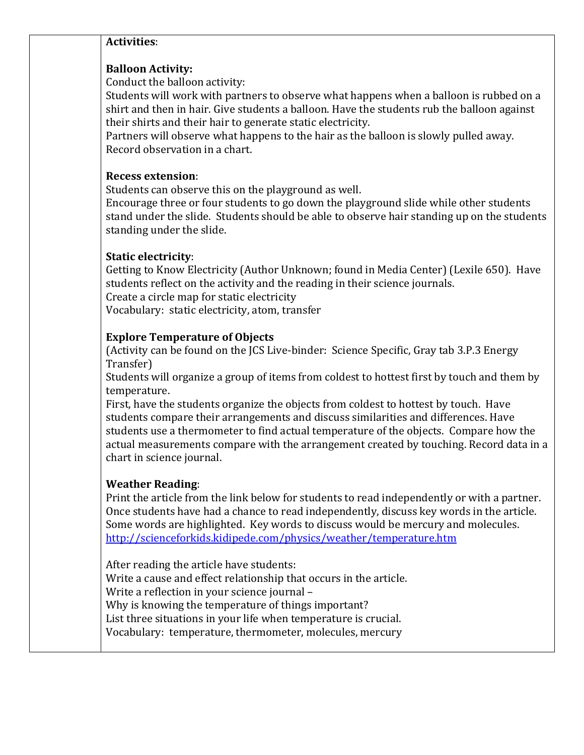#### **Activities**:

#### **Balloon Activity:**

Conduct the balloon activity:

Students will work with partners to observe what happens when a balloon is rubbed on a shirt and then in hair. Give students a balloon. Have the students rub the balloon against their shirts and their hair to generate static electricity.

Partners will observe what happens to the hair as the balloon is slowly pulled away. Record observation in a chart.

#### **Recess extension**:

Students can observe this on the playground as well.

Encourage three or four students to go down the playground slide while other students stand under the slide. Students should be able to observe hair standing up on the students standing under the slide.

#### **Static electricity**:

Getting to Know Electricity (Author Unknown; found in Media Center) (Lexile 650). Have students reflect on the activity and the reading in their science journals. Create a circle map for static electricity

Vocabulary: static electricity, atom, transfer

#### **Explore Temperature of Objects**

(Activity can be found on the JCS Live-binder: Science Specific, Gray tab 3.P.3 Energy Transfer)

Students will organize a group of items from coldest to hottest first by touch and them by temperature.

First, have the students organize the objects from coldest to hottest by touch. Have students compare their arrangements and discuss similarities and differences. Have students use a thermometer to find actual temperature of the objects. Compare how the actual measurements compare with the arrangement created by touching. Record data in a chart in science journal.

#### **Weather Reading**:

Print the article from the link below for students to read independently or with a partner. Once students have had a chance to read independently, discuss key words in the article. Some words are highlighted. Key words to discuss would be mercury and molecules. http://scienceforkids.kidipede.com/physics/weather/temperature.htm

After reading the article have students: Write a cause and effect relationship that occurs in the article. Write a reflection in your science journal -Why is knowing the temperature of things important? List three situations in your life when temperature is crucial. Vocabulary: temperature, thermometer, molecules, mercury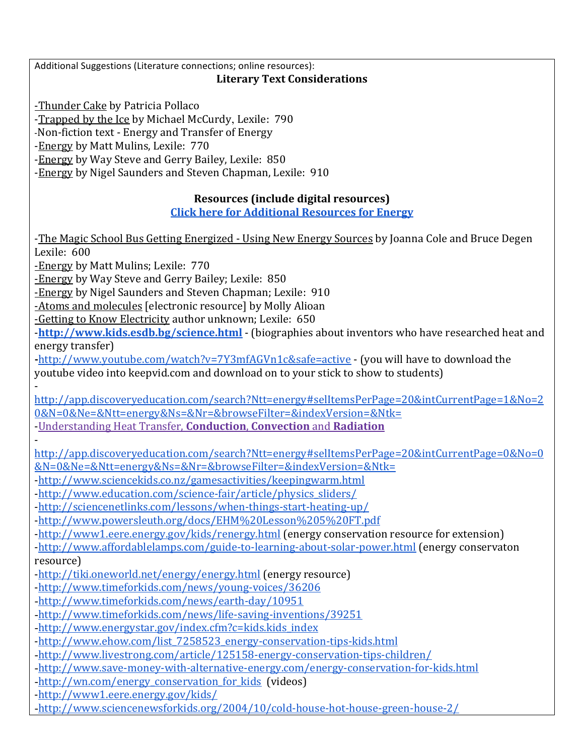Additional Suggestions (Literature connections; online resources):

#### **Literary Text Considerations**

-Thunder Cake by Patricia Pollaco

-Trapped by the Ice by Michael McCurdy, Lexile: 790

-Non-fiction text - Energy and Transfer of Energy

-Energy by Matt Mulins, Lexile: 770

-Energy by Way Steve and Gerry Bailey, Lexile: 850

-Energy by Nigel Saunders and Steven Chapman, Lexile: 910

### **Resources (include digital resources)**

**Click here for Additional Resources for Energy** 

-The Magic School Bus Getting Energized - Using New Energy Sources by Joanna Cole and Bruce Degen Lexile: 600

-Energy by Matt Mulins; Lexile: 770

-Energy by Way Steve and Gerry Bailey; Lexile: 850

-Energy by Nigel Saunders and Steven Chapman; Lexile: 910

-Atoms and molecules [electronic resource] by Molly Alioan

-Getting to Know Electricity author unknown; Lexile: 650

**-http://www.kids.esdb.bg/science.html** - (biographies about inventors who have researched heat and energy transfer)

-http://www.youtube.com/watch?v=7Y3mfAGVn1c&safe=active - (you will have to download the youtube video into keepvid.com and download on to your stick to show to students)

 http://app.discoveryeducation.com/search?Ntt=energy#selItemsPerPage=20&intCurrentPage=1&No=2 0&N=0&Ne=&Ntt=energy&Ns=&Nr=&browseFilter=&indexVersion=&Ntk=

-Understanding Heat Transfer, **Conduction**, **Convection** and **Radiation**

 http://app.discoveryeducation.com/search?Ntt=energy#selItemsPerPage=20&intCurrentPage=0&No=0 &N=0&Ne=&Ntt=energy&Ns=&Nr=&browseFilter=&indexVersion=&Ntk=

-http://www.sciencekids.co.nz/gamesactivities/keepingwarm.html

-http://www.education.com/science-fair/article/physics\_sliders/

-http://sciencenetlinks.com/lessons/when-things-start-heating-up/

-http://www.powersleuth.org/docs/EHM%20Lesson%205%20FT.pdf

-http://www1.eere.energy.gov/kids/renergy.html (energy conservation resource for extension)

-http://www.affordablelamps.com/guide-to-learning-about-solar-power.html (energy conservaton resource)

-http://tiki.oneworld.net/energy/energy.html (energy resource)

-http://www.timeforkids.com/news/young-voices/36206

- -http://www.timeforkids.com/news/earth-day/10951
- -http://www.timeforkids.com/news/life-saving-inventions/39251
- -http://www.energystar.gov/index.cfm?c=kids.kids\_index

-http://www.ehow.com/list\_7258523\_energy-conservation-tips-kids.html

-http://www.livestrong.com/article/125158-energy-conservation-tips-children/

-http://www.save-money-with-alternative-energy.com/energy-conservation-for-kids.html

-http://wn.com/energy\_conservation\_for\_kids (videos)

-http://www1.eere.energy.gov/kids/

-http://www.sciencenewsforkids.org/2004/10/cold-house-hot-house-green-house-2/